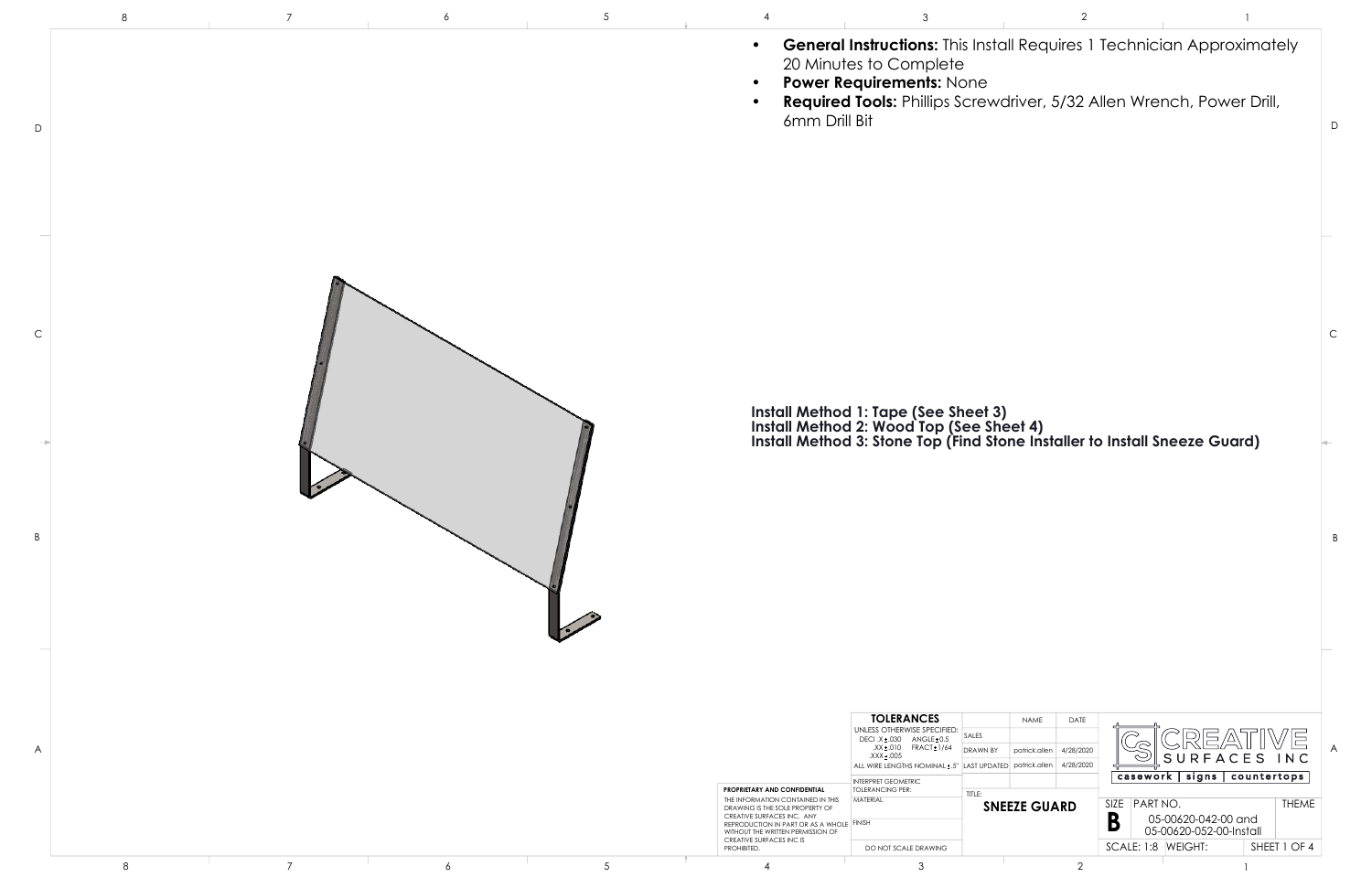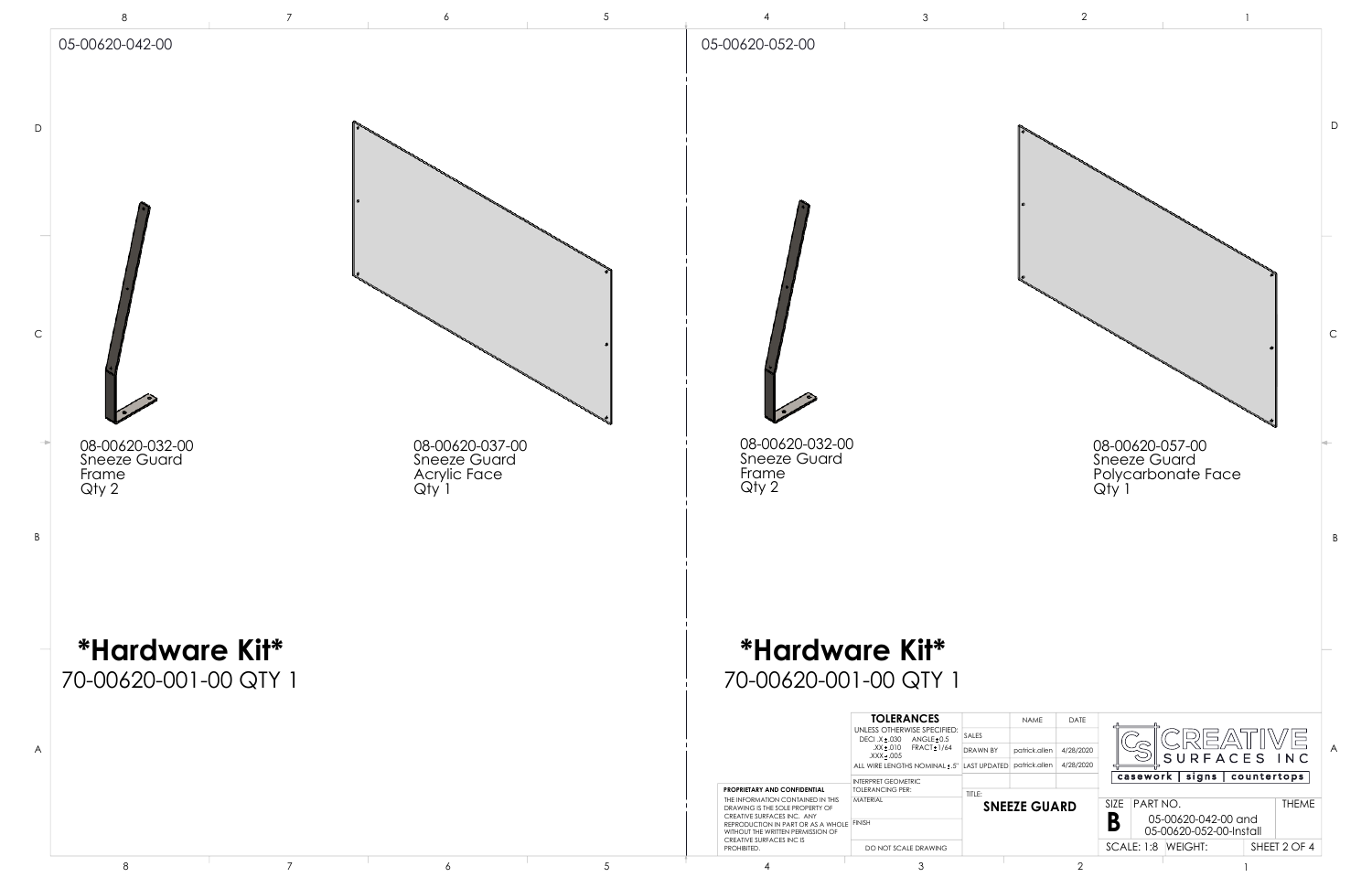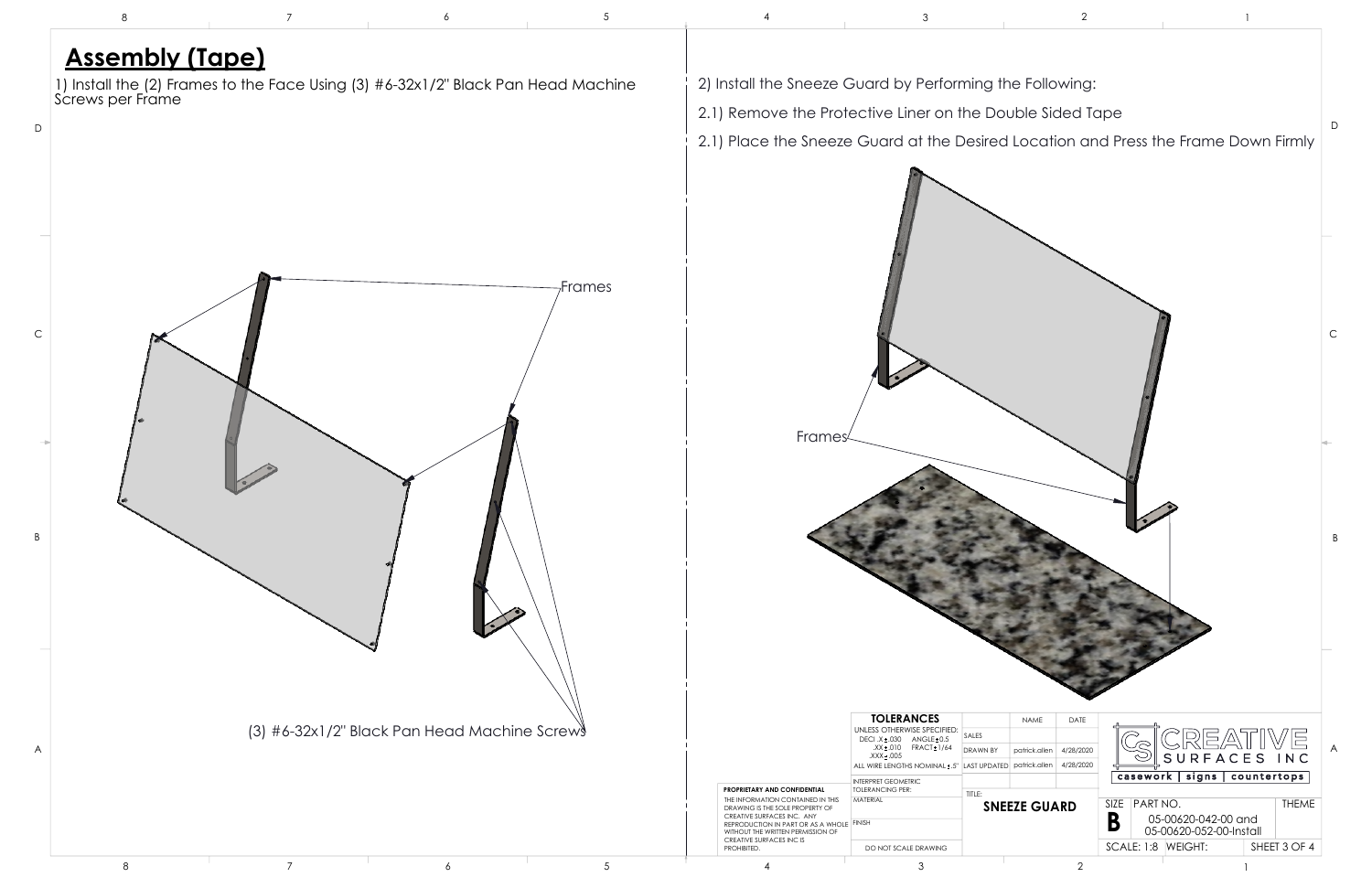